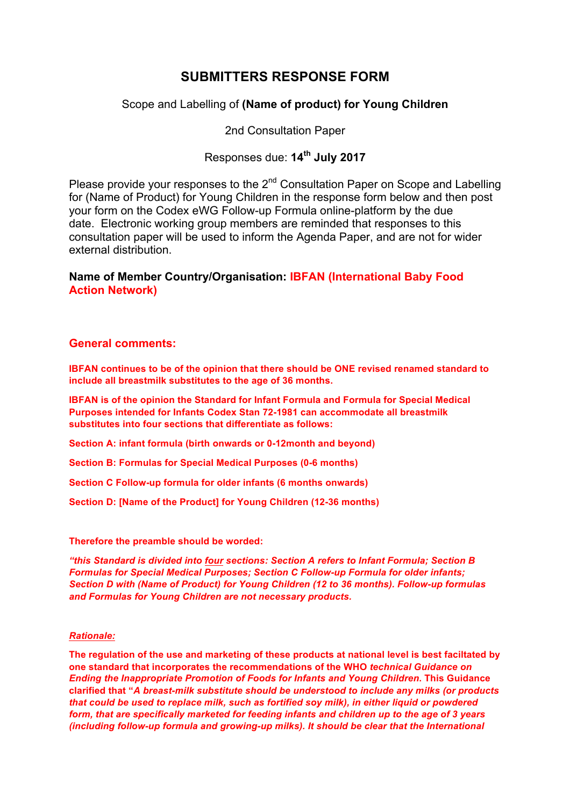# **SUBMITTERS RESPONSE FORM**

## Scope and Labelling of **(Name of product) for Young Children**

2nd Consultation Paper

# Responses due: **14th July 2017**

Please provide your responses to the 2<sup>nd</sup> Consultation Paper on Scope and Labelling for (Name of Product) for Young Children in the response form below and then post your form on the Codex eWG Follow-up Formula online-platform by the due date. Electronic working group members are reminded that responses to this consultation paper will be used to inform the Agenda Paper, and are not for wider external distribution.

## **Name of Member Country/Organisation: IBFAN (International Baby Food Action Network)**

### **General comments:**

**IBFAN continues to be of the opinion that there should be ONE revised renamed standard to include all breastmilk substitutes to the age of 36 months.** 

**IBFAN is of the opinion the Standard for Infant Formula and Formula for Special Medical Purposes intended for Infants Codex Stan 72-1981 can accommodate all breastmilk substitutes into four sections that differentiate as follows:**

**Section A: infant formula (birth onwards or 0-12month and beyond)**

**Section B: Formulas for Special Medical Purposes (0-6 months)**

**Section C Follow-up formula for older infants (6 months onwards)**

**Section D: [Name of the Product] for Young Children (12-36 months)**

### **Therefore the preamble should be worded:**

*"this Standard is divided into four sections: Section A refers to Infant Formula; Section B Formulas for Special Medical Purposes; Section C Follow-up Formula for older infants; Section D with (Name of Product) for Young Children (12 to 36 months). Follow-up formulas and Formulas for Young Children are not necessary products.* 

### *Rationale:*

**The regulation of the use and marketing of these products at national level is best faciltated by one standard that incorporates the recommendations of the WHO** *technical Guidance on Ending the Inappropriate Promotion of Foods for Infants and Young Children***. This Guidance clarified that "***A breast-milk substitute should be understood to include any milks (or products that could be used to replace milk, such as fortified soy milk), in either liquid or powdered form, that are specifically marketed for feeding infants and children up to the age of 3 years (including follow-up formula and growing-up milks). It should be clear that the International*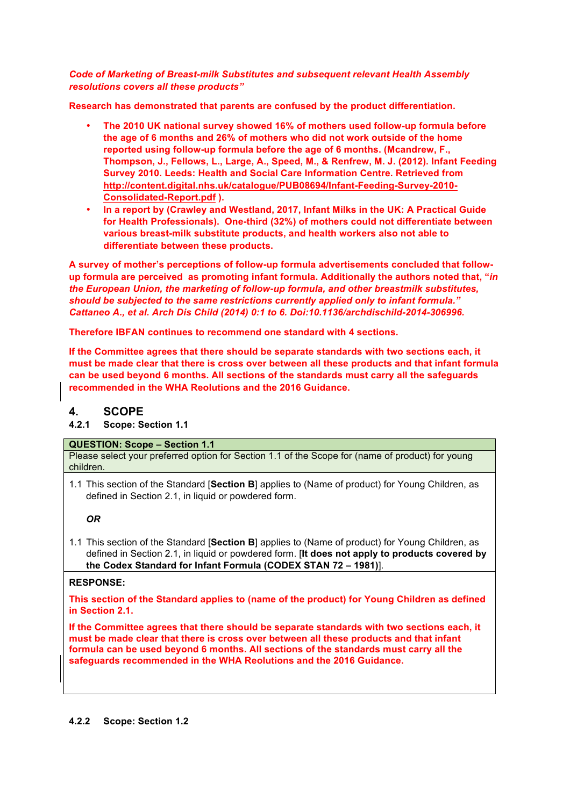### *Code of Marketing of Breast-milk Substitutes and subsequent relevant Health Assembly resolutions covers all these products"*

**Research has demonstrated that parents are confused by the product differentiation.**

- **The 2010 UK national survey showed 16% of mothers used follow-up formula before the age of 6 months and 26% of mothers who did not work outside of the home reported using follow-up formula before the age of 6 months. (Mcandrew, F., Thompson, J., Fellows, L., Large, A., Speed, M., & Renfrew, M. J. (2012). Infant Feeding Survey 2010. Leeds: Health and Social Care Information Centre. Retrieved from http://content.digital.nhs.uk/catalogue/PUB08694/Infant-Feeding-Survey-2010- Consolidated-Report.pdf ).**
- **In a report by (Crawley and Westland, 2017, Infant Milks in the UK: A Practical Guide for Health Professionals). One-third (32%) of mothers could not differentiate between various breast-milk substitute products, and health workers also not able to differentiate between these products.**

**A survey of mother's perceptions of follow-up formula advertisements concluded that followup formula are perceived as promoting infant formula. Additionally the authors noted that, "***in the European Union, the marketing of follow-up formula, and other breastmilk substitutes, should be subjected to the same restrictions currently applied only to infant formula." Cattaneo A., et al. Arch Dis Child (2014) 0:1 to 6. Doi:10.1136/archdischild-2014-306996.* 

**Therefore IBFAN continues to recommend one standard with 4 sections.**

**If the Committee agrees that there should be separate standards with two sections each, it must be made clear that there is cross over between all these products and that infant formula can be used beyond 6 months. All sections of the standards must carry all the safeguards recommended in the WHA Reolutions and the 2016 Guidance.** 

## **4. SCOPE**

**4.2.1 Scope: Section 1.1**

### **QUESTION: Scope – Section 1.1**

Please select your preferred option for Section 1.1 of the Scope for (name of product) for young children.

1.1 This section of the Standard [**Section B**] applies to (Name of product) for Young Children, as defined in Section 2.1, in liquid or powdered form.

### *OR*

1.1 This section of the Standard [**Section B**] applies to (Name of product) for Young Children, as defined in Section 2.1, in liquid or powdered form. [**It does not apply to products covered by the Codex Standard for Infant Formula (CODEX STAN 72 – 1981)**].

### **RESPONSE:**

**This section of the Standard applies to (name of the product) for Young Children as defined in Section 2.1.**

**If the Committee agrees that there should be separate standards with two sections each, it must be made clear that there is cross over between all these products and that infant formula can be used beyond 6 months. All sections of the standards must carry all the safeguards recommended in the WHA Reolutions and the 2016 Guidance.**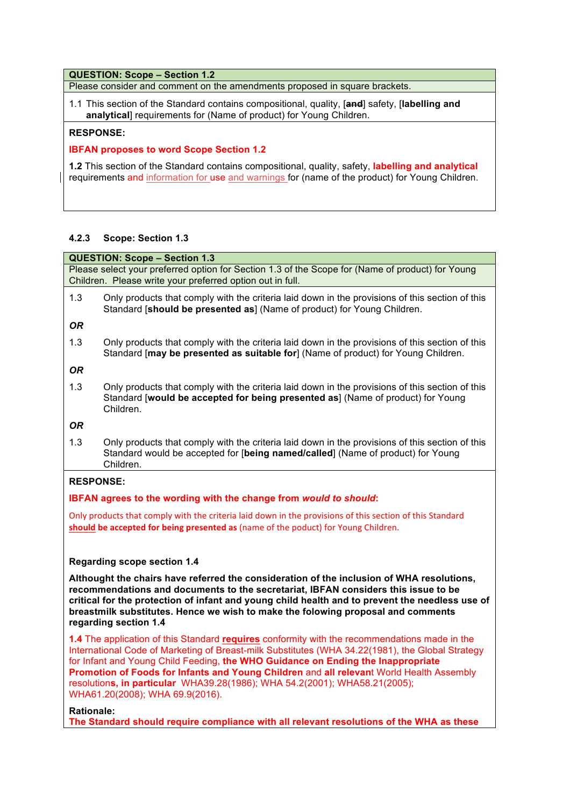#### **QUESTION: Scope – Section 1.2**

Please consider and comment on the amendments proposed in square brackets.

1.1 This section of the Standard contains compositional, quality, [**and**] safety, [**labelling and analytical**] requirements for (Name of product) for Young Children.

#### **RESPONSE:**

### **IBFAN proposes to word Scope Section 1.2**

**1.2** This section of the Standard contains compositional, quality, safety, **labelling and analytical**  requirements and information for use and warnings for (name of the product) for Young Children.

#### **4.2.3 Scope: Section 1.3**

**QUESTION: Scope – Section 1.3** Please select your preferred option for Section 1.3 of the Scope for (Name of product) for Young Children. Please write your preferred option out in full.

1.3 Only products that comply with the criteria laid down in the provisions of this section of this Standard [**should be presented as**] (Name of product) for Young Children.

*OR*

1.3 Only products that comply with the criteria laid down in the provisions of this section of this Standard [**may be presented as suitable for**] (Name of product) for Young Children.

*OR*

1.3 Only products that comply with the criteria laid down in the provisions of this section of this Standard [**would be accepted for being presented as**] (Name of product) for Young Children.

### *OR*

1.3 Only products that comply with the criteria laid down in the provisions of this section of this Standard would be accepted for [**being named/called**] (Name of product) for Young Children.

#### **RESPONSE:**

### **IBFAN agrees to the wording with the change from** *would to should***:**

Only products that comply with the criteria laid down in the provisions of this section of this Standard **should be accepted for being presented as** (name of the poduct) for Young Children.

#### **Regarding scope section 1.4**

**Althought the chairs have referred the consideration of the inclusion of WHA resolutions, recommendations and documents to the secretariat, IBFAN considers this issue to be critical for the protection of infant and young child health and to prevent the needless use of breastmilk substitutes. Hence we wish to make the folowing proposal and comments regarding section 1.4**

**1.4** The application of this Standard **requires** conformity with the recommendations made in the International Code of Marketing of Breast-milk Substitutes (WHA 34.22(1981), the Global Strategy for Infant and Young Child Feeding, **the WHO Guidance on Ending the Inappropriate Promotion of Foods for Infants and Young Children** and **all relevan**t World Health Assembly resolution**s, in particular** WHA39.28(1986); WHA 54.2(2001); WHA58.21(2005); WHA61.20(2008); WHA 69.9(2016).

#### **Rationale:**

**The Standard should require compliance with all relevant resolutions of the WHA as these**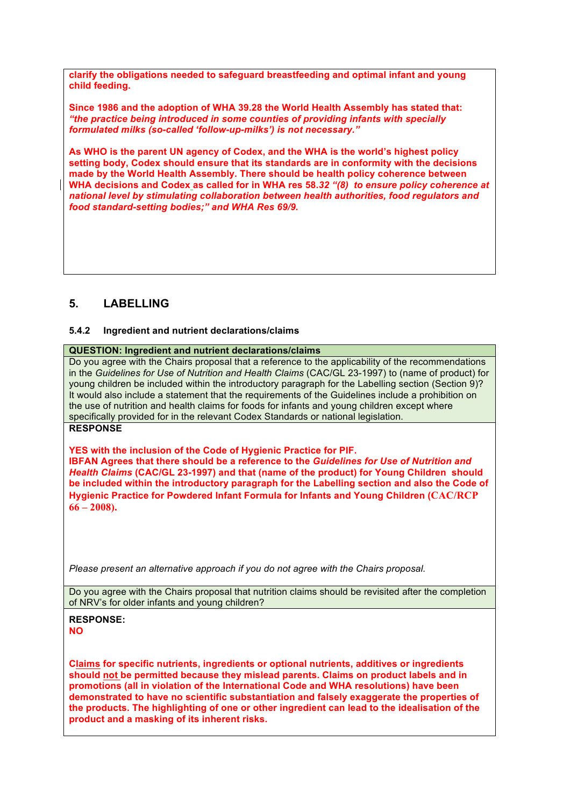**clarify the obligations needed to safeguard breastfeeding and optimal infant and young child feeding.** 

**Since 1986 and the adoption of WHA 39.28 the World Health Assembly has stated that:** *"the practice being introduced in some counties of providing infants with specially formulated milks (so-called 'follow-up-milks') is not necessary."*

**As WHO is the parent UN agency of Codex, and the WHA is the world's highest policy setting body, Codex should ensure that its standards are in conformity with the decisions made by the World Health Assembly. There should be health policy coherence between WHA decisions and Codex as called for in WHA res 58.***32 "(8) to ensure policy coherence at national level by stimulating collaboration between health authorities, food regulators and food standard-setting bodies;" and WHA Res 69/9.*

## **5. LABELLING**

### **5.4.2 Ingredient and nutrient declarations/claims**

### **QUESTION: Ingredient and nutrient declarations/claims**

Do you agree with the Chairs proposal that a reference to the applicability of the recommendations in the *Guidelines for Use of Nutrition and Health Claims* (CAC/GL 23-1997) to (name of product) for young children be included within the introductory paragraph for the Labelling section (Section 9)? It would also include a statement that the requirements of the Guidelines include a prohibition on the use of nutrition and health claims for foods for infants and young children except where specifically provided for in the relevant Codex Standards or national legislation.

## **RESPONSE**

**YES with the inclusion of the Code of Hygienic Practice for PIF. IBFAN Agrees that there should be a reference to the** *Guidelines for Use of Nutrition and Health Claims* **(CAC/GL 23-1997) and that (name of the product) for Young Children should be included within the introductory paragraph for the Labelling section and also the Code of Hygienic Practice for Powdered Infant Formula for Infants and Young Children (CAC/RCP 66 – 2008).**

*Please present an alternative approach if you do not agree with the Chairs proposal.*

Do you agree with the Chairs proposal that nutrition claims should be revisited after the completion of NRV's for older infants and young children?

### **RESPONSE: NO**

**Claims for specific nutrients, ingredients or optional nutrients, additives or ingredients should not be permitted because they mislead parents. Claims on product labels and in promotions (all in violation of the International Code and WHA resolutions) have been demonstrated to have no scientific substantiation and falsely exaggerate the properties of the products. The highlighting of one or other ingredient can lead to the idealisation of the product and a masking of its inherent risks.**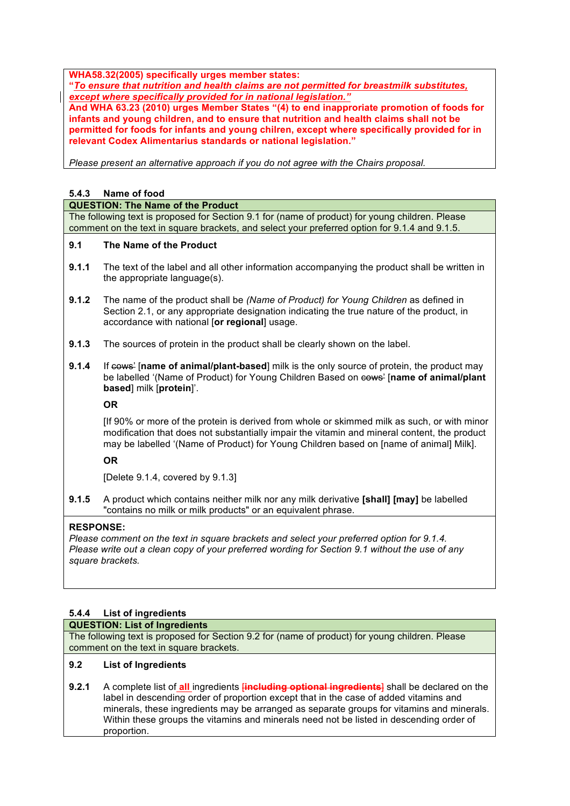**WHA58.32(2005) specifically urges member states:**

**"***To ensure that nutrition and health claims are not permitted for breastmilk substitutes, except where specifically provided for in national legislation."* 

**And WHA 63.23 (2010) urges Member States "(4) to end inapproriate promotion of foods for infants and young children, and to ensure that nutrition and health claims shall not be permitted for foods for infants and young chilren, except where specifically provided for in relevant Codex Alimentarius standards or national legislation."** 

*Please present an alternative approach if you do not agree with the Chairs proposal.*

#### **5.4.3 Name of food**

#### **QUESTION: The Name of the Product**

The following text is proposed for Section 9.1 for (name of product) for young children. Please comment on the text in square brackets, and select your preferred option for 9.1.4 and 9.1.5.

#### **9.1 The Name of the Product**

- **9.1.1** The text of the label and all other information accompanying the product shall be written in the appropriate language(s).
- **9.1.2** The name of the product shall be *(Name of Product) for Young Children* as defined in Section 2.1, or any appropriate designation indicating the true nature of the product, in accordance with national [**or regional**] usage.
- **9.1.3** The sources of protein in the product shall be clearly shown on the label.
- **9.1.4** If cows' [name of animal/plant-based] milk is the only source of protein, the product may be labelled '(Name of Product) for Young Children Based on cows' [**name of animal/plant based**] milk [**protein**]'.

### **OR**

[If 90% or more of the protein is derived from whole or skimmed milk as such, or with minor modification that does not substantially impair the vitamin and mineral content, the product may be labelled '(Name of Product) for Young Children based on [name of animal] Milk].

### **OR**

[Delete 9.1.4, covered by 9.1.3]

**9.1.5** A product which contains neither milk nor any milk derivative **[shall] [may]** be labelled "contains no milk or milk products" or an equivalent phrase.

#### **RESPONSE:**

*Please comment on the text in square brackets and select your preferred option for 9.1.4. Please write out a clean copy of your preferred wording for Section 9.1 without the use of any square brackets.*

### **5.4.4 List of ingredients**

#### **QUESTION: List of Ingredients**

The following text is proposed for Section 9.2 for (name of product) for young children. Please comment on the text in square brackets.

### **9.2 List of Ingredients**

**9.2.1** A complete list of **all** ingredients [**including optional ingredients**] shall be declared on the label in descending order of proportion except that in the case of added vitamins and minerals, these ingredients may be arranged as separate groups for vitamins and minerals. Within these groups the vitamins and minerals need not be listed in descending order of proportion.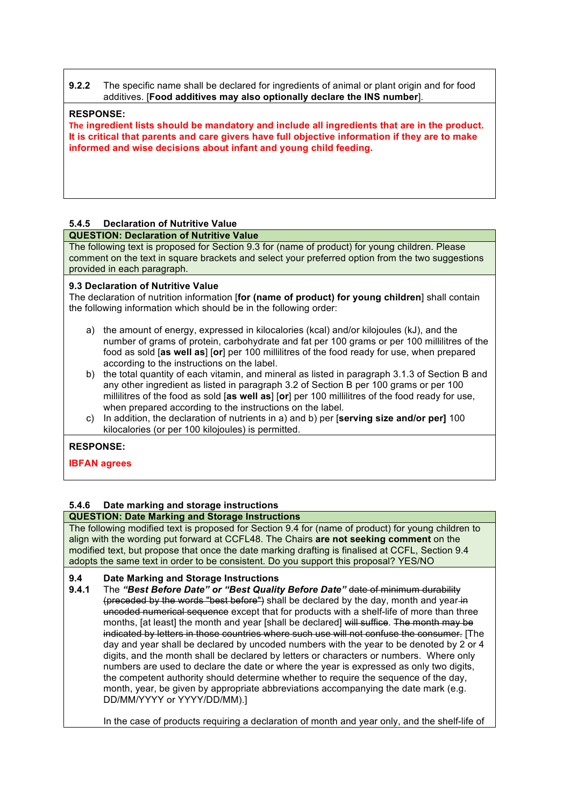**9.2.2** The specific name shall be declared for ingredients of animal or plant origin and for food additives. [**Food additives may also optionally declare the INS number**].

### **RESPONSE:**

**The ingredient lists should be mandatory and include all ingredients that are in the product. It is critical that parents and care givers have full objective information if they are to make informed and wise decisions about infant and young child feeding.** 

### **5.4.5 Declaration of Nutritive Value**

### **QUESTION: Declaration of Nutritive Value**

The following text is proposed for Section 9.3 for (name of product) for young children. Please comment on the text in square brackets and select your preferred option from the two suggestions provided in each paragraph.

#### **9.3 Declaration of Nutritive Value**

The declaration of nutrition information [**for (name of product) for young children**] shall contain the following information which should be in the following order:

- a) the amount of energy, expressed in kilocalories (kcal) and/or kilojoules (kJ), and the number of grams of protein, carbohydrate and fat per 100 grams or per 100 millilitres of the food as sold [**as well as**] [**or**] per 100 millilitres of the food ready for use, when prepared according to the instructions on the label.
- b) the total quantity of each vitamin, and mineral as listed in paragraph 3.1.3 of Section B and any other ingredient as listed in paragraph 3.2 of Section B per 100 grams or per 100 millilitres of the food as sold [**as well as**] [**or**] per 100 millilitres of the food ready for use, when prepared according to the instructions on the label.
- c) In addition, the declaration of nutrients in a) and b) per [**serving size and/or per]** 100 kilocalories (or per 100 kilojoules) is permitted.

### **RESPONSE:**

**IBFAN agrees**

## **5.4.6 Date marking and storage instructions**

**QUESTION: Date Marking and Storage Instructions** The following modified text is proposed for Section 9.4 for (name of product) for young children to align with the wording put forward at CCFL48. The Chairs **are not seeking comment** on the modified text, but propose that once the date marking drafting is finalised at CCFL, Section 9.4 adopts the same text in order to be consistent. Do you support this proposal? YES/NO

### **9.4 Date Marking and Storage Instructions**

**9.4.1** The *"Best Before Date" or "Best Quality Before Date"* date of minimum durability (preceded by the words "best before") shall be declared by the day, month and year in uncoded numerical sequence except that for products with a shelf-life of more than three months, [at least] the month and year [shall be declared] will suffice. The month may be indicated by letters in those countries where such use will not confuse the consumer. [The day and year shall be declared by uncoded numbers with the year to be denoted by 2 or 4 digits, and the month shall be declared by letters or characters or numbers. Where only numbers are used to declare the date or where the year is expressed as only two digits, the competent authority should determine whether to require the sequence of the day, month, year, be given by appropriate abbreviations accompanying the date mark (e.g. DD/MM/YYYY or YYYY/DD/MM).]

In the case of products requiring a declaration of month and year only, and the shelf-life of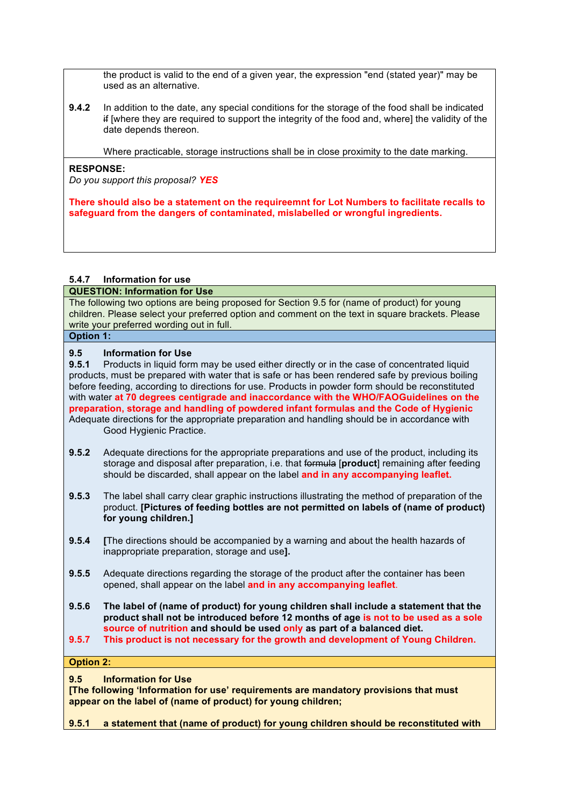the product is valid to the end of a given year, the expression "end (stated year)" may be used as an alternative.

**9.4.2** In addition to the date, any special conditions for the storage of the food shall be indicated if [where they are required to support the integrity of the food and, where] the validity of the date depends thereon.

Where practicable, storage instructions shall be in close proximity to the date marking.

### **RESPONSE:**

*Do you support this proposal? YES*

**There should also be a statement on the requireemnt for Lot Numbers to facilitate recalls to safeguard from the dangers of contaminated, mislabelled or wrongful ingredients.** 

### **5.4.7 Information for use**

**QUESTION: Information for Use**

The following two options are being proposed for Section 9.5 for (name of product) for young children. Please select your preferred option and comment on the text in square brackets. Please write your preferred wording out in full.

# **Option 1:**

### **9.5 Information for Use**

**9.5.1** Products in liquid form may be used either directly or in the case of concentrated liquid products, must be prepared with water that is safe or has been rendered safe by previous boiling before feeding, according to directions for use. Products in powder form should be reconstituted with water **at 70 degrees centigrade and inaccordance with the WHO/FAOGuidelines on the preparation, storage and handling of powdered infant formulas and the Code of Hygienic**  Adequate directions for the appropriate preparation and handling should be in accordance with Good Hygienic Practice.

- **9.5.2** Adequate directions for the appropriate preparations and use of the product, including its storage and disposal after preparation, i.e. that formula [**product**] remaining after feeding should be discarded, shall appear on the label **and in any accompanying leaflet.**
- **9.5.3** The label shall carry clear graphic instructions illustrating the method of preparation of the product. **[Pictures of feeding bottles are not permitted on labels of (name of product) for young children.]**
- **9.5.4 [**The directions should be accompanied by a warning and about the health hazards of inappropriate preparation, storage and use**].**
- **9.5.5** Adequate directions regarding the storage of the product after the container has been opened, shall appear on the label **and in any accompanying leaflet**.
- **9.5.6 The label of (name of product) for young children shall include a statement that the product shall not be introduced before 12 months of age is not to be used as a sole source of nutrition and should be used only as part of a balanced diet.**
- **9.5.7 This product is not necessary for the growth and development of Young Children.**

**Option 2:**

**9.5 Information for Use** 

**[The following 'Information for use' requirements are mandatory provisions that must appear on the label of (name of product) for young children;** 

**9.5.1 a statement that (name of product) for young children should be reconstituted with**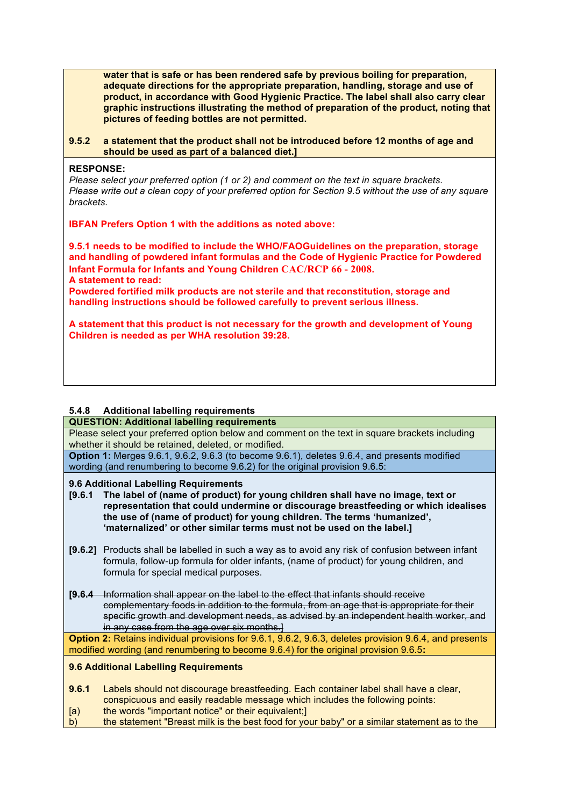**water that is safe or has been rendered safe by previous boiling for preparation, adequate directions for the appropriate preparation, handling, storage and use of product, in accordance with Good Hygienic Practice. The label shall also carry clear graphic instructions illustrating the method of preparation of the product, noting that pictures of feeding bottles are not permitted.** 

**9.5.2 a statement that the product shall not be introduced before 12 months of age and should be used as part of a balanced diet.]**

#### **RESPONSE:**

*Please select your preferred option (1 or 2) and comment on the text in square brackets. Please write out a clean copy of your preferred option for Section 9.5 without the use of any square brackets.*

**IBFAN Prefers Option 1 with the additions as noted above:**

**9.5.1 needs to be modified to include the WHO/FAOGuidelines on the preparation, storage and handling of powdered infant formulas and the Code of Hygienic Practice for Powdered Infant Formula for Infants and Young Children CAC/RCP 66 - 2008. A statement to read:** 

**Powdered fortified milk products are not sterile and that reconstitution, storage and handling instructions should be followed carefully to prevent serious illness.**

**A statement that this product is not necessary for the growth and development of Young Children is needed as per WHA resolution 39:28.**

### **5.4.8 Additional labelling requirements**

#### **QUESTION: Additional labelling requirements**

Please select your preferred option below and comment on the text in square brackets including whether it should be retained, deleted, or modified.

**Option 1:** Merges 9.6.1, 9.6.2, 9.6.3 (to become 9.6.1), deletes 9.6.4, and presents modified wording (and renumbering to become 9.6.2) for the original provision 9.6.5:

#### **9.6 Additional Labelling Requirements**

- **[9.6.1 The label of (name of product) for young children shall have no image, text or representation that could undermine or discourage breastfeeding or which idealises the use of (name of product) for young children. The terms 'humanized', 'maternalized' or other similar terms must not be used on the label.]**
- **[9.6.2]** Products shall be labelled in such a way as to avoid any risk of confusion between infant formula, follow-up formula for older infants, (name of product) for young children, and formula for special medical purposes.
- **[9.6.4** Information shall appear on the label to the effect that infants should receive complementary foods in addition to the formula, from an age that is appropriate for their specific growth and development needs, as advised by an independent health worker, and in any case from the age over six months.

**Option 2:** Retains individual provisions for 9.6.1, 9.6.2, 9.6.3, deletes provision 9.6.4, and presents modified wording (and renumbering to become 9.6.4) for the original provision 9.6.5**:**

#### **9.6 Additional Labelling Requirements**

- **9.6.1** Labels should not discourage breastfeeding. Each container label shall have a clear, conspicuous and easily readable message which includes the following points:
- [a) the words "important notice" or their equivalent;]
- b) the statement "Breast milk is the best food for your baby" or a similar statement as to the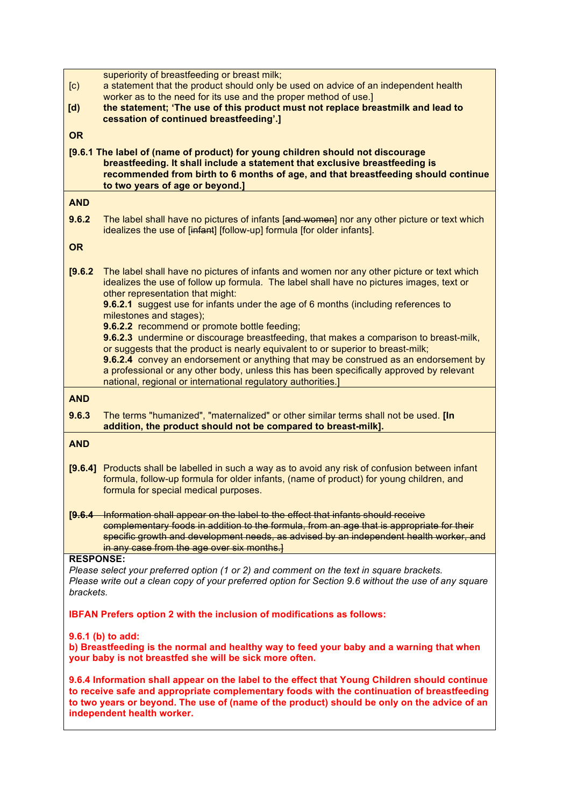| $\left[ \mathrm{c}\right)$<br>$\mathbf{[d]}$                                                                                                                                                                                                                                                                             | superiority of breastfeeding or breast milk;<br>a statement that the product should only be used on advice of an independent health<br>worker as to the need for its use and the proper method of use.]<br>the statement; 'The use of this product must not replace breastmilk and lead to                                                                                                                                                                                                                                                                                                                                                                                                                                                                                                                                   |
|--------------------------------------------------------------------------------------------------------------------------------------------------------------------------------------------------------------------------------------------------------------------------------------------------------------------------|------------------------------------------------------------------------------------------------------------------------------------------------------------------------------------------------------------------------------------------------------------------------------------------------------------------------------------------------------------------------------------------------------------------------------------------------------------------------------------------------------------------------------------------------------------------------------------------------------------------------------------------------------------------------------------------------------------------------------------------------------------------------------------------------------------------------------|
| <b>OR</b>                                                                                                                                                                                                                                                                                                                | cessation of continued breastfeeding'.]                                                                                                                                                                                                                                                                                                                                                                                                                                                                                                                                                                                                                                                                                                                                                                                      |
|                                                                                                                                                                                                                                                                                                                          | [9.6.1 The label of (name of product) for young children should not discourage<br>breastfeeding. It shall include a statement that exclusive breastfeeding is<br>recommended from birth to 6 months of age, and that breastfeeding should continue<br>to two years of age or beyond.]                                                                                                                                                                                                                                                                                                                                                                                                                                                                                                                                        |
| <b>AND</b>                                                                                                                                                                                                                                                                                                               |                                                                                                                                                                                                                                                                                                                                                                                                                                                                                                                                                                                                                                                                                                                                                                                                                              |
| 9.6.2                                                                                                                                                                                                                                                                                                                    | The label shall have no pictures of infants [and women] nor any other picture or text which<br>idealizes the use of [infant] [follow-up] formula [for older infants].                                                                                                                                                                                                                                                                                                                                                                                                                                                                                                                                                                                                                                                        |
| <b>OR</b>                                                                                                                                                                                                                                                                                                                |                                                                                                                                                                                                                                                                                                                                                                                                                                                                                                                                                                                                                                                                                                                                                                                                                              |
| [9.6.2]                                                                                                                                                                                                                                                                                                                  | The label shall have no pictures of infants and women nor any other picture or text which<br>idealizes the use of follow up formula. The label shall have no pictures images, text or<br>other representation that might:<br>9.6.2.1 suggest use for infants under the age of 6 months (including references to<br>milestones and stages);<br>9.6.2.2 recommend or promote bottle feeding;<br>9.6.2.3 undermine or discourage breastfeeding, that makes a comparison to breast-milk,<br>or suggests that the product is nearly equivalent to or superior to breast-milk;<br>9.6.2.4 convey an endorsement or anything that may be construed as an endorsement by<br>a professional or any other body, unless this has been specifically approved by relevant<br>national, regional or international regulatory authorities.] |
| <b>AND</b>                                                                                                                                                                                                                                                                                                               |                                                                                                                                                                                                                                                                                                                                                                                                                                                                                                                                                                                                                                                                                                                                                                                                                              |
| 9.6.3                                                                                                                                                                                                                                                                                                                    | The terms "humanized", "maternalized" or other similar terms shall not be used. [In<br>addition, the product should not be compared to breast-milk].                                                                                                                                                                                                                                                                                                                                                                                                                                                                                                                                                                                                                                                                         |
| <b>AND</b>                                                                                                                                                                                                                                                                                                               |                                                                                                                                                                                                                                                                                                                                                                                                                                                                                                                                                                                                                                                                                                                                                                                                                              |
| [9.6.4]                                                                                                                                                                                                                                                                                                                  | Products shall be labelled in such a way as to avoid any risk of confusion between infant<br>formula, follow-up formula for older infants, (name of product) for young children, and<br>formula for special medical purposes.                                                                                                                                                                                                                                                                                                                                                                                                                                                                                                                                                                                                |
|                                                                                                                                                                                                                                                                                                                          | [9.6.4 Information shall appear on the label to the effect that infants should receive<br>complementary foods in addition to the formula, from an age that is appropriate for their<br>specific growth and development needs, as advised by an independent health worker, and<br>in any case from the age over six months.]                                                                                                                                                                                                                                                                                                                                                                                                                                                                                                  |
| <b>RESPONSE:</b><br>Please select your preferred option (1 or 2) and comment on the text in square brackets.<br>Please write out a clean copy of your preferred option for Section 9.6 without the use of any square<br>brackets.                                                                                        |                                                                                                                                                                                                                                                                                                                                                                                                                                                                                                                                                                                                                                                                                                                                                                                                                              |
| IBFAN Prefers option 2 with the inclusion of modifications as follows:                                                                                                                                                                                                                                                   |                                                                                                                                                                                                                                                                                                                                                                                                                                                                                                                                                                                                                                                                                                                                                                                                                              |
| 9.6.1 (b) to add:<br>b) Breastfeeding is the normal and healthy way to feed your baby and a warning that when<br>your baby is not breastfed she will be sick more often.                                                                                                                                                 |                                                                                                                                                                                                                                                                                                                                                                                                                                                                                                                                                                                                                                                                                                                                                                                                                              |
| 9.6.4 Information shall appear on the label to the effect that Young Children should continue<br>to receive safe and appropriate complementary foods with the continuation of breastfeeding<br>to two years or beyond. The use of (name of the product) should be only on the advice of an<br>independent health worker. |                                                                                                                                                                                                                                                                                                                                                                                                                                                                                                                                                                                                                                                                                                                                                                                                                              |